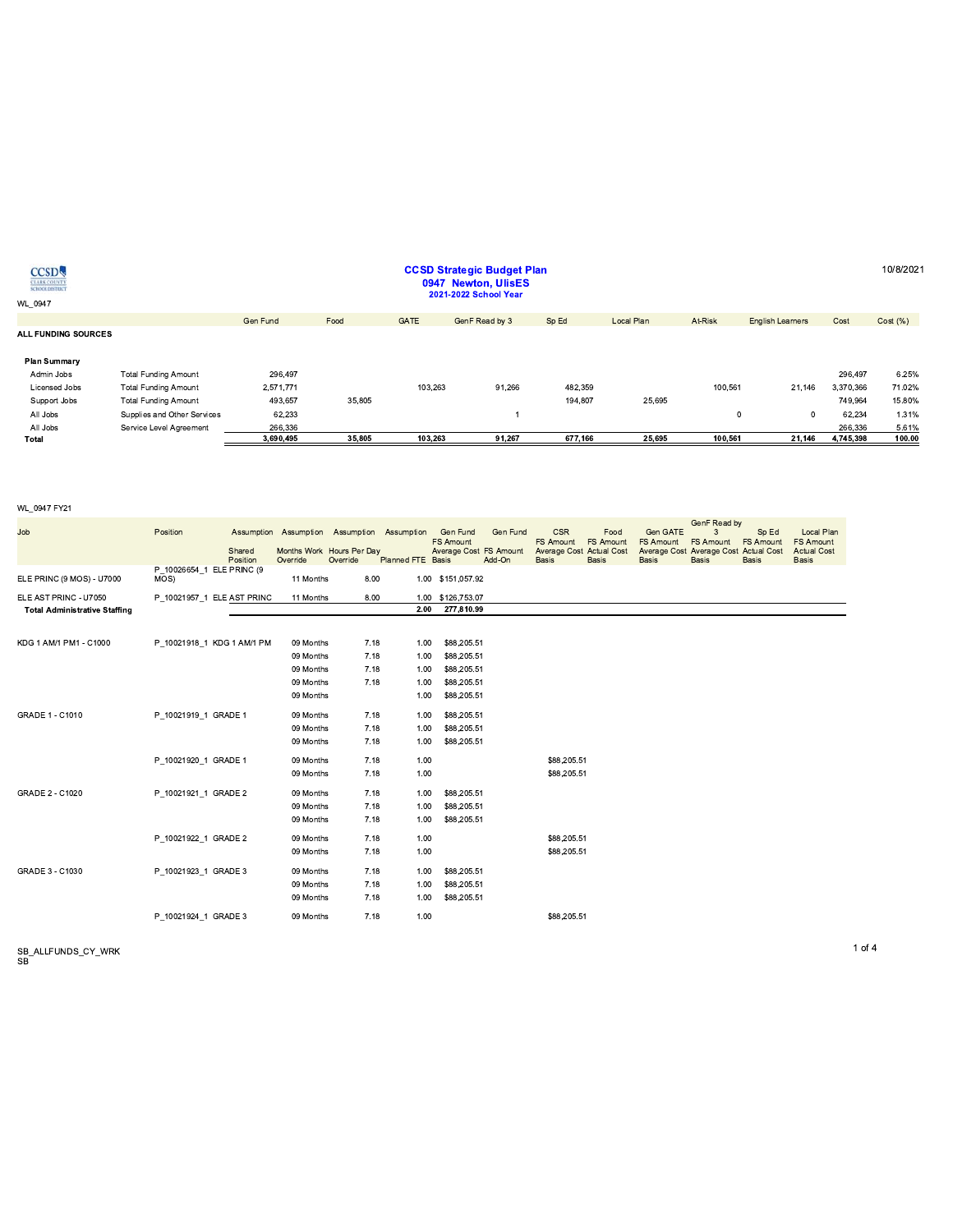| <b>CCSD</b><br><b>CLARK COUNTY</b><br>SCHOOL DISTRICT<br>WL 0947 |                             |           |        |             | <b>CCSD Strategic Budget Plan</b><br>0947 Newton, UlisES<br>2021-2022 School Year |         |            |         |                         |           | 10/8/202 |
|------------------------------------------------------------------|-----------------------------|-----------|--------|-------------|-----------------------------------------------------------------------------------|---------|------------|---------|-------------------------|-----------|----------|
|                                                                  |                             |           |        |             |                                                                                   |         |            |         |                         |           |          |
| ALL FUNDING SOURCES                                              |                             | Gen Fund  | Food   | <b>GATE</b> | GenF Read by 3                                                                    | Sp Ed   | Local Plan | At-Risk | <b>English Learners</b> | Cost      | Cost(%)  |
| <b>Plan Summary</b>                                              |                             |           |        |             |                                                                                   |         |            |         |                         |           |          |
| Admin Jobs                                                       | <b>Total Funding Amount</b> | 296.497   |        |             |                                                                                   |         |            |         |                         | 296.497   | 6.25%    |
| Licensed Jobs                                                    | <b>Total Funding Amount</b> | 2,571,771 |        | 103.263     | 91,266                                                                            | 482,359 |            | 100.561 | 21,146                  | 3.370.366 | 71.02%   |
| Support Jobs                                                     | <b>Total Funding Amount</b> | 493,657   | 35,805 |             |                                                                                   | 194.807 | 25.695     |         |                         | 749.964   | 15.80%   |
| All Jobs                                                         | Supplies and Other Services | 62,233    |        |             |                                                                                   |         |            | 0       | $^{\circ}$              | 62.234    | 1.31%    |
| All Jobs                                                         | Service Level Agreement     | 266,336   |        |             |                                                                                   |         |            |         |                         | 266,336   | 5.61%    |
| Total                                                            |                             | 3,690,495 | 35,805 | 103,263     | 91,267                                                                            | 677,166 | 25,695     | 100,561 | 21,146                  | 4,745,398 | 100.00   |

**CCSD Strategic Budget Plan** 

#### WL\_0947 FY21

| Job                                                           | Position                          | Shared<br>Position | Override  | Assumption Assumption Assumption Assumption<br>Months Work Hours Per Day<br>Override | <b>Planned FTE Basis</b> | Gen Fund<br><b>FS Amount</b><br>Average Cost FS Amount | Gen Fund<br>Add-On | <b>CSR</b><br><b>FS Amount</b><br><b>Average Cost Actual Cost</b><br><b>Basis</b> | Food<br><b>FS Amount</b><br><b>Basis</b> | Gen GATE<br>FS Amount<br><b>Basis</b> | GenF Read by<br>3<br><b>FS Amount</b><br>Average Cost Average Cost Actual Cost<br><b>Basis</b> | Sp Ed<br><b>FS Amount</b><br><b>Basis</b> | <b>Local Plan</b><br><b>FS Amount</b><br><b>Actual Cost</b><br><b>Basis</b> |
|---------------------------------------------------------------|-----------------------------------|--------------------|-----------|--------------------------------------------------------------------------------------|--------------------------|--------------------------------------------------------|--------------------|-----------------------------------------------------------------------------------|------------------------------------------|---------------------------------------|------------------------------------------------------------------------------------------------|-------------------------------------------|-----------------------------------------------------------------------------|
| ELE PRINC (9 MOS) - U7000                                     | P 10026654 1 ELE PRINC (9<br>MOS) |                    | 11 Months | 8.00                                                                                 |                          | 1.00 \$151,057.92                                      |                    |                                                                                   |                                          |                                       |                                                                                                |                                           |                                                                             |
| ELE AST PRINC - U7050<br><b>Total Administrative Staffing</b> | P 10021957 1 ELE AST PRINC        |                    | 11 Months | 8.00                                                                                 | 2.00                     | 1.00 \$126,753.07<br>277,810.99                        |                    |                                                                                   |                                          |                                       |                                                                                                |                                           |                                                                             |
|                                                               |                                   |                    |           |                                                                                      |                          |                                                        |                    |                                                                                   |                                          |                                       |                                                                                                |                                           |                                                                             |
| KDG 1 AM/1 PM1 - C1000                                        | P 10021918 1 KDG 1 AM/1 PM        |                    | 09 Months | 7.18                                                                                 | 1.00                     | \$88,205.51                                            |                    |                                                                                   |                                          |                                       |                                                                                                |                                           |                                                                             |
|                                                               |                                   |                    | 09 Months | 7.18                                                                                 | 1.00                     | \$88,205.51                                            |                    |                                                                                   |                                          |                                       |                                                                                                |                                           |                                                                             |
|                                                               |                                   |                    | 09 Months | 7.18                                                                                 | 1.00                     | \$88,205.51                                            |                    |                                                                                   |                                          |                                       |                                                                                                |                                           |                                                                             |
|                                                               |                                   |                    | 09 Months | 7.18                                                                                 | 1.00                     | \$88,205.51                                            |                    |                                                                                   |                                          |                                       |                                                                                                |                                           |                                                                             |
|                                                               |                                   |                    | 09 Months |                                                                                      | 1.00                     | \$88,205.51                                            |                    |                                                                                   |                                          |                                       |                                                                                                |                                           |                                                                             |
| GRADE 1 - C1010                                               | P 10021919 1 GRADE 1              |                    | 09 Months | 7.18                                                                                 | 1.00                     | \$88,205.51                                            |                    |                                                                                   |                                          |                                       |                                                                                                |                                           |                                                                             |
|                                                               |                                   |                    | 09 Months | 7.18                                                                                 | 1.00                     | \$88,205.51                                            |                    |                                                                                   |                                          |                                       |                                                                                                |                                           |                                                                             |
|                                                               |                                   |                    | 09 Months | 7.18                                                                                 | 1.00                     | \$88,205.51                                            |                    |                                                                                   |                                          |                                       |                                                                                                |                                           |                                                                             |
|                                                               | P 10021920 1 GRADE 1              |                    | 09 Months | 7.18                                                                                 | 1.00                     |                                                        |                    | \$88,205.51                                                                       |                                          |                                       |                                                                                                |                                           |                                                                             |
|                                                               |                                   |                    | 09 Months | 7.18                                                                                 | 1.00                     |                                                        |                    | \$88,205.51                                                                       |                                          |                                       |                                                                                                |                                           |                                                                             |
| <b>GRADE 2 - C1020</b>                                        | P 10021921 1 GRADE 2              |                    | 09 Months | 7.18                                                                                 | 1.00                     | \$88,205.51                                            |                    |                                                                                   |                                          |                                       |                                                                                                |                                           |                                                                             |
|                                                               |                                   |                    | 09 Months | 7.18                                                                                 | 1.00                     | \$88,205.51                                            |                    |                                                                                   |                                          |                                       |                                                                                                |                                           |                                                                             |
|                                                               |                                   |                    | 09 Months | 7.18                                                                                 | 1.00                     | \$88,205.51                                            |                    |                                                                                   |                                          |                                       |                                                                                                |                                           |                                                                             |
|                                                               | P 10021922 1 GRADE 2              |                    | 09 Months | 7.18                                                                                 | 1.00                     |                                                        |                    | \$88,205.51                                                                       |                                          |                                       |                                                                                                |                                           |                                                                             |
|                                                               |                                   |                    | 09 Months | 7.18                                                                                 | 1.00                     |                                                        |                    | \$88,205.51                                                                       |                                          |                                       |                                                                                                |                                           |                                                                             |
| GRADE 3 - C1030                                               | P 10021923 1 GRADE 3              |                    | 09 Months | 7.18                                                                                 | 1.00                     | \$88,205.51                                            |                    |                                                                                   |                                          |                                       |                                                                                                |                                           |                                                                             |
|                                                               |                                   |                    | 09 Months | 7.18                                                                                 | 1.00                     | \$88,205.51                                            |                    |                                                                                   |                                          |                                       |                                                                                                |                                           |                                                                             |
|                                                               |                                   |                    | 09 Months | 7.18                                                                                 | 1.00                     | \$88,205.51                                            |                    |                                                                                   |                                          |                                       |                                                                                                |                                           |                                                                             |
|                                                               | P 10021924 1 GRADE 3              |                    | 09 Months | 7.18                                                                                 | 1.00                     |                                                        |                    | \$88,205.51                                                                       |                                          |                                       |                                                                                                |                                           |                                                                             |

SB\_ALLFUNDS\_CY\_WRK<br>SB

1 of  $4$ 

10/8/2021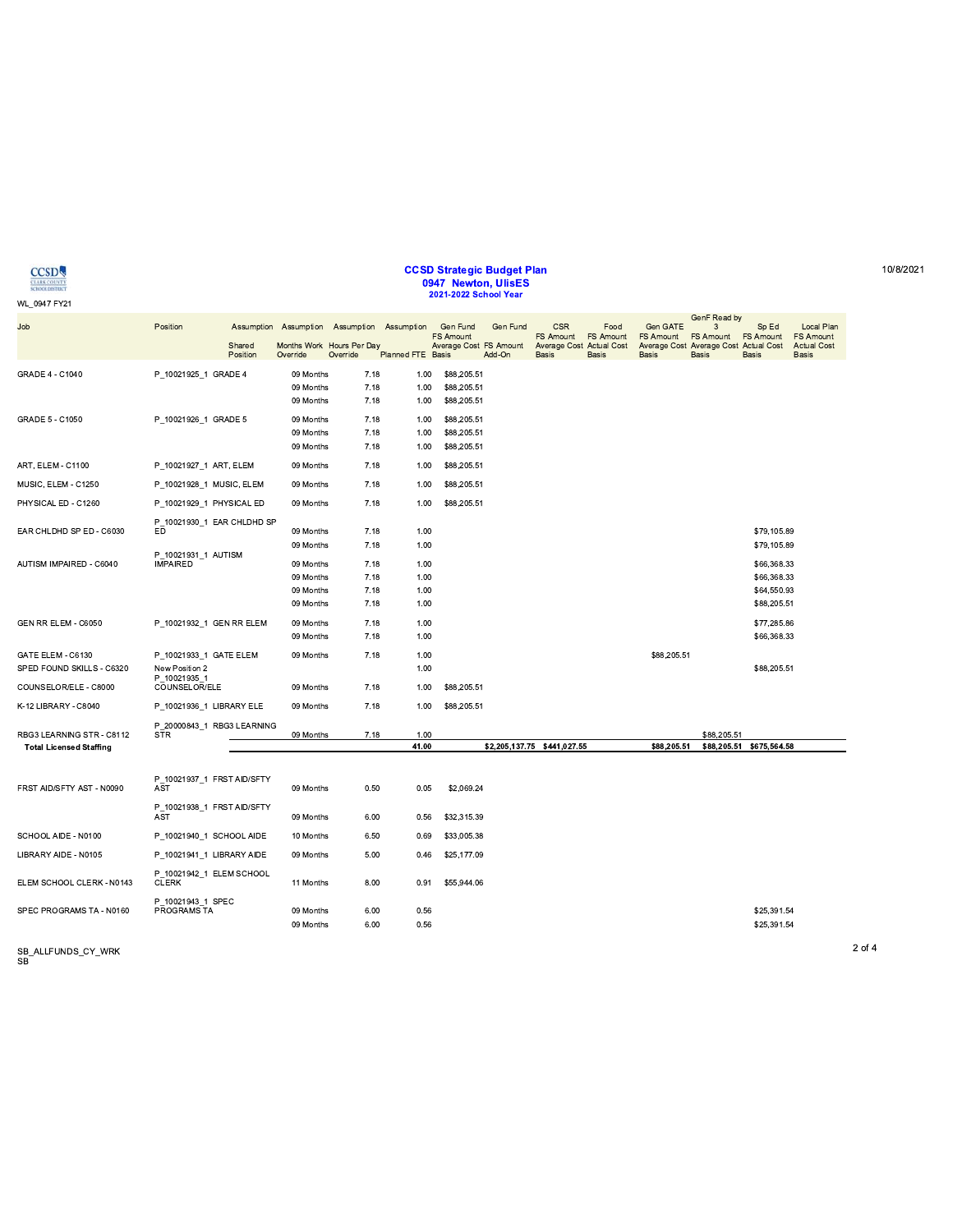|                                |                                          | 09 Months              | 7.18         | 1.00          | \$88,205.51                 |             |                                         |                            |
|--------------------------------|------------------------------------------|------------------------|--------------|---------------|-----------------------------|-------------|-----------------------------------------|----------------------------|
| GRADE 5 - C1050                | P 10021926 1 GRADE 5                     | 09 Months              | 7.18         | 1.00          | \$88,205.51                 |             |                                         |                            |
|                                |                                          | 09 Months              | 7.18         | 1.00          | \$88,205.51                 |             |                                         |                            |
|                                |                                          | 09 Months              | 7.18         | 1.00          | \$88,205.51                 |             |                                         |                            |
| ART, ELEM - C1100              | P_10021927_1 ART, ELEM                   | 09 Months              | 7.18         | 1.00          | \$88,205.51                 |             |                                         |                            |
| MUSIC, ELEM - C1250            | P_10021928_1 MUSIC, ELEM                 | 09 Months              | 7.18         | 1.00          | \$88,205.51                 |             |                                         |                            |
| PHYSICAL ED - C1260            | P_10021929_1 PHYSICAL ED                 | 09 Months              | 7.18         | 1.00          | \$88,205.51                 |             |                                         |                            |
| EAR CHLDHD SP ED - C6030       | P_10021930_1 EAR CHLDHD SP<br>ED         | 09 Months              | 7.18         | 1.00          |                             |             |                                         | \$79,105.89                |
|                                |                                          | 09 Months              | 7.18         | 1.00          |                             |             |                                         | \$79,105.89                |
|                                | P 10021931 1 AUTISM                      |                        |              |               |                             |             |                                         |                            |
| AUTISM IMPAIRED - C6040        | <b>IMPAIRED</b>                          | 09 Months              | 7.18         | 1.00          |                             |             |                                         | \$66,368.33                |
|                                |                                          | 09 Months              | 7.18         | 1.00          |                             |             |                                         | \$66,368.33                |
|                                |                                          | 09 Months              | 7.18         | 1.00          |                             |             |                                         | \$64,550.93                |
|                                |                                          | 09 Months              | 7.18         | 1.00          |                             |             |                                         | \$88,205.51                |
| GEN RR ELEM - C6050            | P 10021932 1 GEN RR ELEM                 | 09 Months              | 7.18         | 1.00          |                             |             |                                         | \$77,285.86                |
|                                |                                          | 09 Months              | 7.18         | 1.00          |                             |             |                                         | \$66,368.33                |
| GATE ELEM - C6130              | P 10021933 1 GATE ELEM                   | 09 Months              | 7.18         | 1.00          |                             | \$88,205.51 |                                         |                            |
| SPED FOUND SKILLS - C6320      | New Position 2                           |                        |              | 1.00          |                             |             |                                         | \$88,205.51                |
| COUNSELOR/ELE - C8000          | P 10021935 1<br>COUNSELOR/ELE            | 09 Months              | 7.18         | 1.00          | \$88,205.51                 |             |                                         |                            |
| K-12 LIBRARY - C8040           | P 10021936 1 LIBRARY ELE                 | 09 Months              | 7.18         | 1.00          | \$88,205.51                 |             |                                         |                            |
|                                | P 20000843 1 RBG3 LEARNING               |                        |              |               |                             |             |                                         |                            |
| RBG3 LEARNING STR - C8112      | <b>STR</b>                               | 09 Months              | 7.18         | 1.00<br>41.00 | \$2,205,137.75 \$441,027.55 | \$88,205.51 | \$88,205.51<br>\$88,205.51 \$675,564.58 |                            |
| <b>Total Licensed Staffing</b> |                                          |                        |              |               |                             |             |                                         |                            |
|                                |                                          |                        |              |               |                             |             |                                         |                            |
| FRST AID/SFTY AST - N0090      | P 10021937 1 FRST AID/SFTY<br><b>AST</b> | 09 Months              | 0.50         | 0.05          | \$2,069.24                  |             |                                         |                            |
|                                |                                          |                        |              |               |                             |             |                                         |                            |
|                                | P 10021938 1 FRST AID/SFTY<br><b>AST</b> | 09 Months              | 6.00         | 0.56          | \$32,315.39                 |             |                                         |                            |
| SCHOOL AIDE - N0100            | P_10021940_1 SCHOOL AIDE                 | 10 Months              | 6.50         | 0.69          | \$33,005.38                 |             |                                         |                            |
| LIBRARY AIDE - N0105           |                                          | 09 Months              | 5.00         | 0.46          | \$25,177.09                 |             |                                         |                            |
|                                | P_10021941_1 LIBRARY AIDE                |                        |              |               |                             |             |                                         |                            |
| ELEM SCHOOL CLERK - N0143      | P 10021942 1 ELEM SCHOOL<br><b>CLERK</b> | 11 Months              | 8.00         | 0.91          | \$55,944.06                 |             |                                         |                            |
|                                |                                          |                        |              |               |                             |             |                                         |                            |
| SPEC PROGRAMS TA - N0160       | P_10021943_1 SPEC                        |                        |              |               |                             |             |                                         |                            |
|                                |                                          |                        |              |               |                             |             |                                         |                            |
|                                | PROGRAMS TA                              | 09 Months<br>09 Months | 6.00<br>6.00 | 0.56<br>0.56  |                             |             |                                         | \$25,391.54<br>\$25,391.54 |

**CCSD** WL\_0947 FY21

GRADE 4 - C1040

Position

P\_10021925\_1 GRADE 4

Shared Position

09 Months

09 Months

 $7.18$ 

 $7.18$ 

Job

# CCSD Strategic Budget Plan<br>0947 Newton, UlisES<br>2021-2022 School Year

1.00 \$88,205.51

1.00 \$88,205.51

Assumption Assumption Assumption Assumption Assumption Assumption Assumption Assumption Assumption Cen<br>FS Amount FS Amount FS Amount FS Amount FS Amount FS Amount FS Amount FS Amount FS Amount FS Amount FS Amount Average C

SB\_ALLFUNDS\_CY\_WRK<br>SB

 $2$  of  $4\,$ 

10/8/2021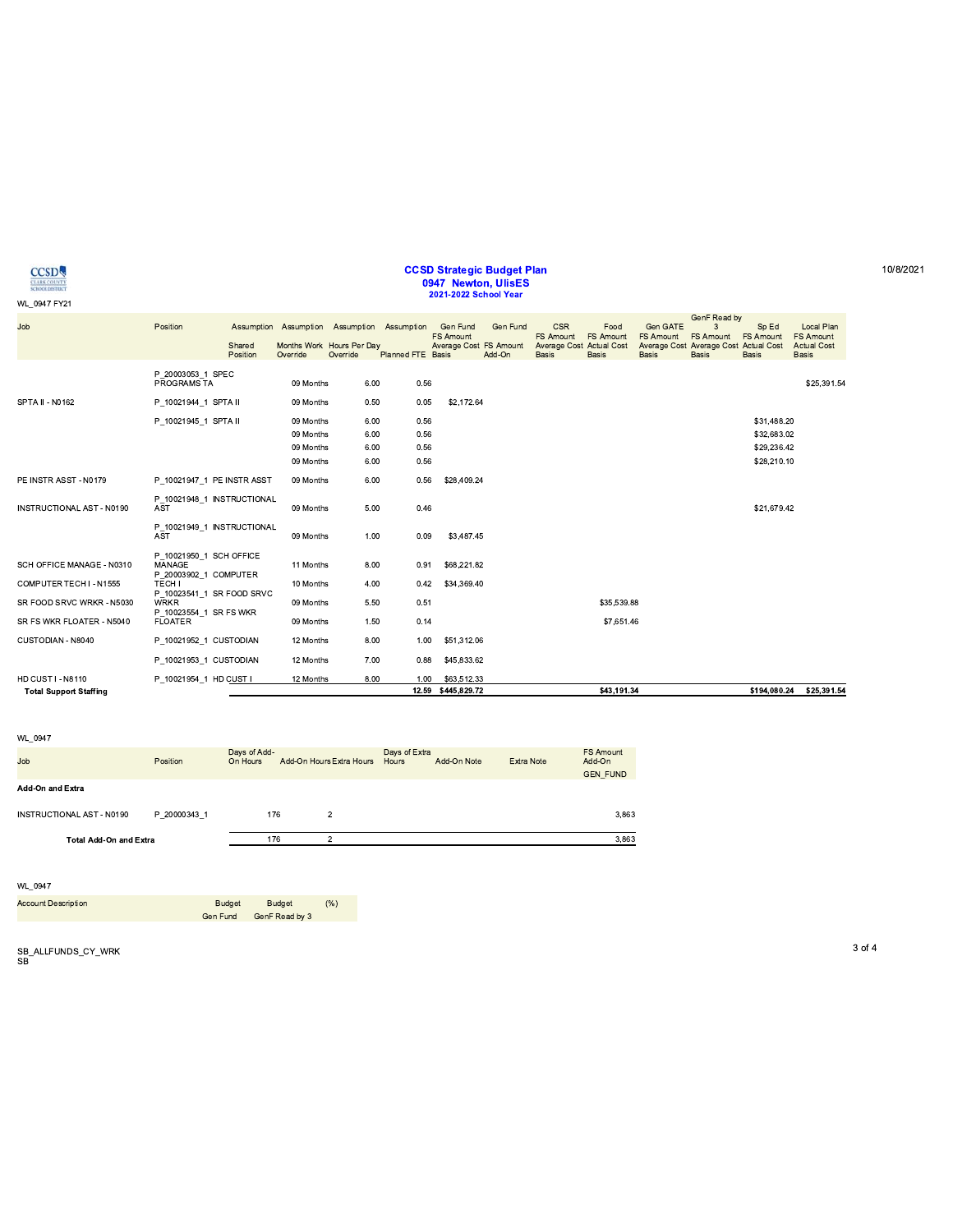| <b>ECONI</b> |  |  |  |
|--------------|--|--|--|
|              |  |  |  |

### CCSD Strategic Budget Plan U947 NeWton, UIISES<br>2021-2022 School Year

| <b>CCSD</b><br><b>CLARK COUNTY</b><br><b>SCHOOL DISTRICT</b> |                                          |                    |           |                                                                                      |                          | <b>CCSD Strategic Budget Plan</b><br>0947 Newton, UlisES<br>2021-2022 School Year |                    |                                                                            |                                          |                                              |                                                                                |                                           |                                                                      |
|--------------------------------------------------------------|------------------------------------------|--------------------|-----------|--------------------------------------------------------------------------------------|--------------------------|-----------------------------------------------------------------------------------|--------------------|----------------------------------------------------------------------------|------------------------------------------|----------------------------------------------|--------------------------------------------------------------------------------|-------------------------------------------|----------------------------------------------------------------------|
| WL_0947 FY21                                                 |                                          |                    |           |                                                                                      |                          |                                                                                   |                    |                                                                            |                                          |                                              | GenF Read by                                                                   |                                           |                                                                      |
| Job                                                          | Position                                 | Shared<br>Position | Override  | Assumption Assumption Assumption Assumption<br>Months Work Hours Per Day<br>Override | <b>Planned FTE Basis</b> | Gen Fund<br><b>FS Amount</b><br>Average Cost FS Amount                            | Gen Fund<br>Add-On | <b>CSR</b><br><b>FS Amount</b><br>Average Cost Actual Cost<br><b>Basis</b> | Food<br><b>FS Amount</b><br><b>Basis</b> | Gen GATE<br><b>FS Amount</b><br><b>Basis</b> | 3<br><b>FS Amount</b><br>Average Cost Average Cost Actual Cost<br><b>Basis</b> | Sp Ed<br><b>FS Amount</b><br><b>Basis</b> | Local Plan<br><b>FS Amount</b><br><b>Actual Cost</b><br><b>Basis</b> |
|                                                              | P 20003053 1 SPEC<br>PROGRAMS TA         |                    | 09 Months | 6.00                                                                                 | 0.56                     |                                                                                   |                    |                                                                            |                                          |                                              |                                                                                |                                           | \$25,391.54                                                          |
| SPTA II - N0162                                              | P 10021944 1 SPTA II                     |                    | 09 Months | 0.50                                                                                 | 0.05                     | \$2,172.64                                                                        |                    |                                                                            |                                          |                                              |                                                                                |                                           |                                                                      |
|                                                              | P 10021945 1 SPTA II                     |                    | 09 Months | 6.00                                                                                 | 0.56                     |                                                                                   |                    |                                                                            |                                          |                                              |                                                                                | \$31,488.20                               |                                                                      |
|                                                              |                                          |                    | 09 Months | 6.00                                                                                 | 0.56                     |                                                                                   |                    |                                                                            |                                          |                                              |                                                                                | \$32,683.02                               |                                                                      |
|                                                              |                                          |                    | 09 Months | 6.00                                                                                 | 0.56                     |                                                                                   |                    |                                                                            |                                          |                                              |                                                                                | \$29,236.42                               |                                                                      |
|                                                              |                                          |                    | 09 Months | 6.00                                                                                 | 0.56                     |                                                                                   |                    |                                                                            |                                          |                                              |                                                                                | \$28,210.10                               |                                                                      |
| PE INSTR ASST - N0179                                        | P 10021947 1 PE INSTR ASST               |                    | 09 Months | 6.00                                                                                 | 0.56                     | \$28,409.24                                                                       |                    |                                                                            |                                          |                                              |                                                                                |                                           |                                                                      |
| <b>INSTRUCTIONAL AST - N0190</b>                             | P 10021948 1 INSTRUCTIONAL<br><b>AST</b> |                    | 09 Months | 5.00                                                                                 | 0.46                     |                                                                                   |                    |                                                                            |                                          |                                              |                                                                                | \$21,679.42                               |                                                                      |
|                                                              | P 10021949 1 INSTRUCTIONAL<br><b>AST</b> |                    | 09 Months | 1.00                                                                                 | 0.09                     | \$3,487.45                                                                        |                    |                                                                            |                                          |                                              |                                                                                |                                           |                                                                      |
| SCH OFFICE MANAGE - N0310                                    | P 10021950 1 SCH OFFICE<br>MANAGE        |                    | 11 Months | 8.00                                                                                 | 0.91                     | \$68,221.82                                                                       |                    |                                                                            |                                          |                                              |                                                                                |                                           |                                                                      |
| COMPUTER TECH I - N1555                                      | P 20003902 1 COMPUTER<br>TECH I          |                    | 10 Months | 4.00                                                                                 | 0.42                     | \$34,369.40                                                                       |                    |                                                                            |                                          |                                              |                                                                                |                                           |                                                                      |
| SR FOOD SRVC WRKR - N5030                                    | P_10023541_1 SR FOOD SRVC<br><b>WRKR</b> |                    | 09 Months | 5.50                                                                                 | 0.51                     |                                                                                   |                    |                                                                            | \$35,539.88                              |                                              |                                                                                |                                           |                                                                      |
| SR FS WKR FLOATER - N5040                                    | P 10023554 1 SR FS WKR<br><b>FLOATER</b> |                    | 09 Months | 1.50                                                                                 | 0.14                     |                                                                                   |                    |                                                                            | \$7,651.46                               |                                              |                                                                                |                                           |                                                                      |
| CUSTODIAN - N8040                                            | P 10021952 1 CUSTODIAN                   |                    | 12 Months | 8.00                                                                                 | 1.00                     | \$51,312.06                                                                       |                    |                                                                            |                                          |                                              |                                                                                |                                           |                                                                      |
|                                                              | P 10021953 1 CUSTODIAN                   |                    | 12 Months | 7.00                                                                                 | 0.88                     | \$45,833.62                                                                       |                    |                                                                            |                                          |                                              |                                                                                |                                           |                                                                      |
|                                                              | P_10021954_1 HD CUST I                   |                    | 12 Months | 8.00                                                                                 | 1.00                     | \$63,512.33<br>12.59 \$445,829.72                                                 |                    |                                                                            | \$43,191.34                              |                                              |                                                                                |                                           |                                                                      |

WL\_0947

| $V = 0.5 + 1$                 |              |                          |                          |                          |                        |             |                   |                                               |
|-------------------------------|--------------|--------------------------|--------------------------|--------------------------|------------------------|-------------|-------------------|-----------------------------------------------|
| Job                           | Position     | Days of Add-<br>On Hours |                          | Add-On Hours Extra Hours | Days of Extra<br>Hours | Add-On Note | <b>Extra Note</b> | <b>FS Amount</b><br>Add-On<br><b>GEN FUND</b> |
| <b>Add-On and Extra</b>       |              |                          |                          |                          |                        |             |                   |                                               |
| INSTRUCTIONAL AST - N0190     | P 20000343 1 |                          | 176                      | $\overline{2}$           |                        |             |                   | 3,863                                         |
| <b>Total Add-On and Extra</b> |              | 176                      | $\overline{c}$           |                          |                        |             | 3,863             |                                               |
|                               |              |                          |                          |                          |                        |             |                   |                                               |
| WL 0947                       |              |                          |                          |                          |                        |             |                   |                                               |
| <b>Account Description</b>    | Gen Fund     | <b>Budget</b>            | Budget<br>GenF Read by 3 | (% )                     |                        |             |                   |                                               |

WL\_0947<br>Account Description<br>SB\_ALLFUNDS\_CY\_WRK<br>SB\_ALLFUNDS\_CY\_WRK<br>SB .LL(BA@3F>LO?D@?(A ,BGUF@ ,BGUF@ klm EFA0BAG EFA07FJG<K'

SB\_ALLFUNDS\_CY\_WRK<br>SB

10/8/2021